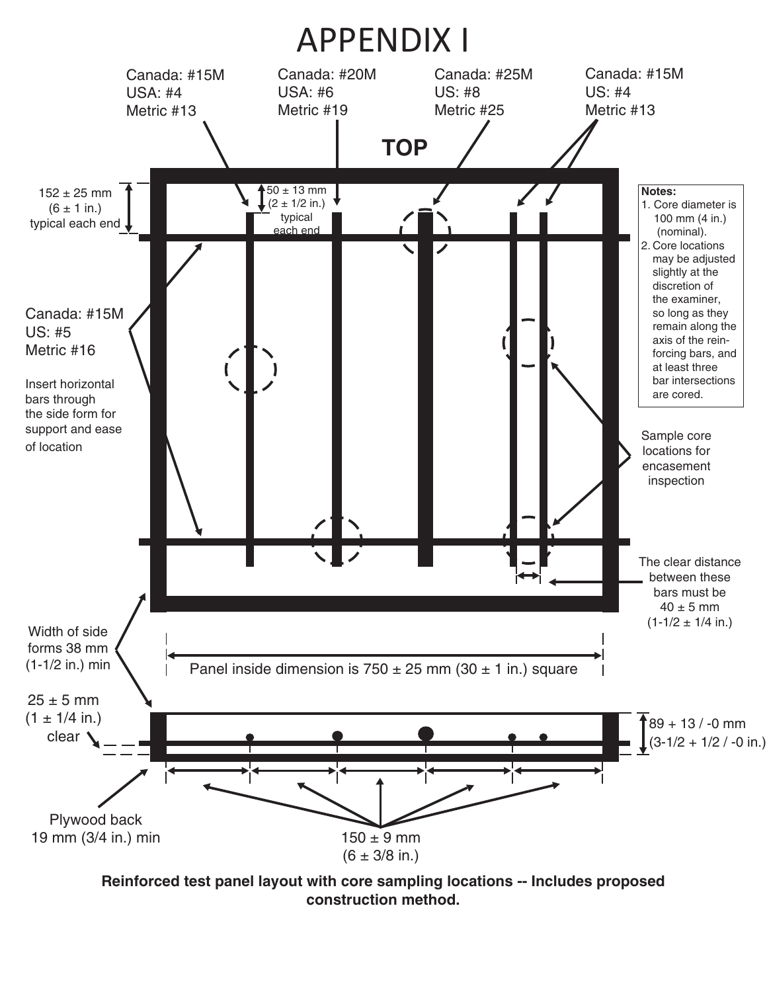

**Reinforced test panel layout with core sampling locations -- Includes proposed construction method.**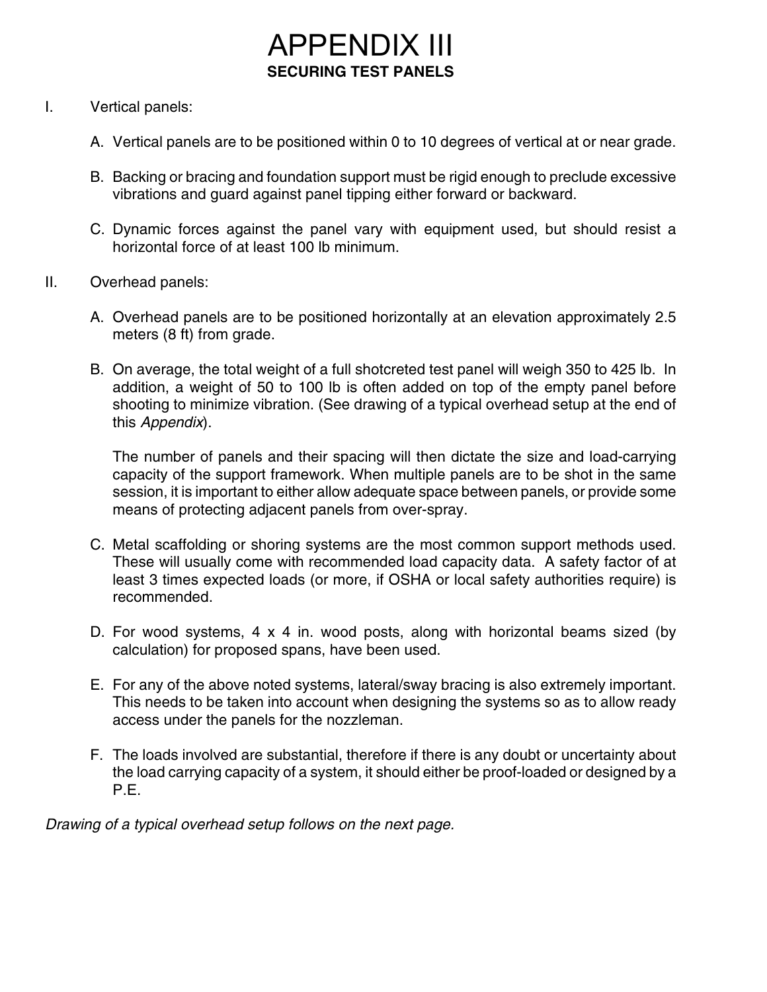## APPENDIX III **SECURING TEST PANELS**

## I. Vertical panels:

- A. Vertical panels are to be positioned within 0 to 10 degrees of vertical at or near grade.
- B. Backing or bracing and foundation support must be rigid enough to preclude excessive vibrations and guard against panel tipping either forward or backward.
- C. Dynamic forces against the panel vary with equipment used, but should resist a horizontal force of at least 100 lb minimum.
- II. Overhead panels:
	- A. Overhead panels are to be positioned horizontally at an elevation approximately 2.5 meters (8 ft) from grade.
	- B. On average, the total weight of a full shotcreted test panel will weigh 350 to 425 lb. In addition, a weight of 50 to 100 lb is often added on top of the empty panel before shooting to minimize vibration. (See drawing of a typical overhead setup at the end of this *Appendix*).

The number of panels and their spacing will then dictate the size and load-carrying capacity of the support framework. When multiple panels are to be shot in the same session, it is important to either allow adequate space between panels, or provide some means of protecting adjacent panels from over-spray.

- C. Metal scaffolding or shoring systems are the most common support methods used. These will usually come with recommended load capacity data. A safety factor of at least 3 times expected loads (or more, if OSHA or local safety authorities require) is recommended.
- D. For wood systems, 4 x 4 in. wood posts, along with horizontal beams sized (by calculation) for proposed spans, have been used.
- E. For any of the above noted systems, lateral/sway bracing is also extremely important. This needs to be taken into account when designing the systems so as to allow ready access under the panels for the nozzleman.
- F. The loads involved are substantial, therefore if there is any doubt or uncertainty about the load carrying capacity of a system, it should either be proof-loaded or designed by a P.E.

*Drawing of a typical overhead setup follows on the next page.*